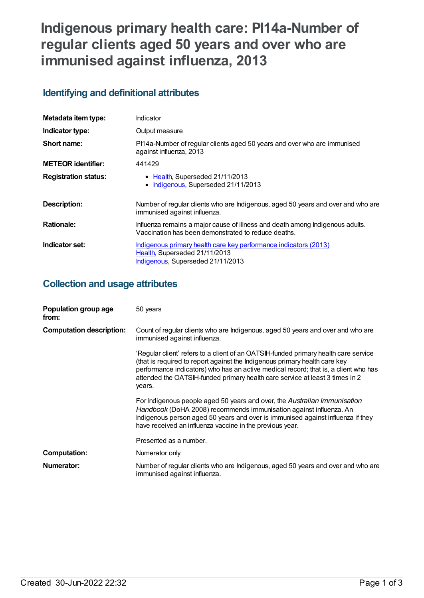# **Indigenous primary health care: PI14a-Number of regular clients aged 50 years and over who are immunised against influenza, 2013**

## **Identifying and definitional attributes**

| Metadata item type:         | Indicator                                                                                                                              |
|-----------------------------|----------------------------------------------------------------------------------------------------------------------------------------|
| Indicator type:             | Output measure                                                                                                                         |
| Short name:                 | PI14a-Number of regular clients aged 50 years and over who are immunised<br>against influenza, 2013                                    |
| <b>METEOR</b> identifier:   | 441429                                                                                                                                 |
| <b>Registration status:</b> | • Health, Superseded 21/11/2013<br>Indigenous, Superseded 21/11/2013                                                                   |
| <b>Description:</b>         | Number of regular clients who are Indigenous, aged 50 years and over and who are<br>immunised against influenza.                       |
| <b>Rationale:</b>           | Influenza remains a major cause of illness and death among Indigenous adults.<br>Vaccination has been demonstrated to reduce deaths.   |
| Indicator set:              | Indigenous primary health care key performance indicators (2013)<br>Health, Superseded 21/11/2013<br>Indigenous, Superseded 21/11/2013 |

## **Collection and usage attributes**

| Population group age<br>from:   | 50 years                                                                                                                                                                                                                                                                                                                                           |
|---------------------------------|----------------------------------------------------------------------------------------------------------------------------------------------------------------------------------------------------------------------------------------------------------------------------------------------------------------------------------------------------|
| <b>Computation description:</b> | Count of regular clients who are Indigenous, aged 50 years and over and who are<br>immunised against influenza.                                                                                                                                                                                                                                    |
|                                 | 'Regular client' refers to a client of an OATSIH-funded primary health care service<br>(that is required to report against the Indigenous primary health care key<br>performance indicators) who has an active medical record; that is, a client who has<br>attended the OATSIH-funded primary health care service at least 3 times in 2<br>years. |
|                                 | For Indigenous people aged 50 years and over, the Australian Immunisation<br>Handbook (DoHA 2008) recommends immunisation against influenza. An<br>Indigenous person aged 50 years and over is immunised against influenza if they<br>have received an influenza vaccine in the previous year.                                                     |
|                                 | Presented as a number.                                                                                                                                                                                                                                                                                                                             |
| <b>Computation:</b>             | Numerator only                                                                                                                                                                                                                                                                                                                                     |
| Numerator:                      | Number of regular clients who are Indigenous, aged 50 years and over and who are<br>immunised against influenza.                                                                                                                                                                                                                                   |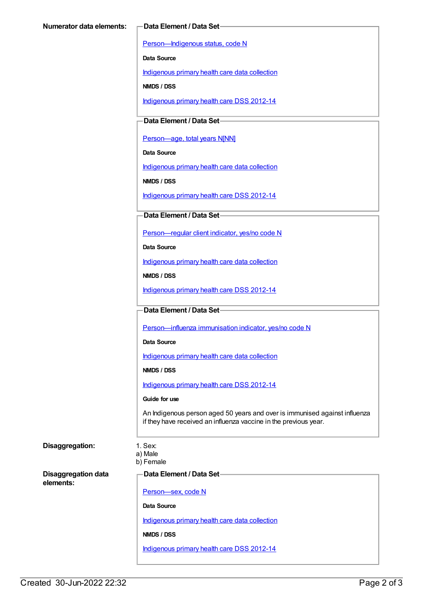[Person—Indigenous](https://meteor.aihw.gov.au/content/291036) status, code N

**Data Source**

[Indigenous](https://meteor.aihw.gov.au/content/430643) primary health care data collection

**NMDS / DSS**

[Indigenous](https://meteor.aihw.gov.au/content/430629) primary health care DSS 2012-14

**Data Element / Data Set**

Person-age, total years N[NN]

**Data Source**

[Indigenous](https://meteor.aihw.gov.au/content/430643) primary health care data collection

**NMDS / DSS**

[Indigenous](https://meteor.aihw.gov.au/content/430629) primary health care DSS 2012-14

### **Data Element / Data Set**

[Person—regular](https://meteor.aihw.gov.au/content/436639) client indicator, yes/no code N

**Data Source**

[Indigenous](https://meteor.aihw.gov.au/content/430643) primary health care data collection

**NMDS / DSS**

[Indigenous](https://meteor.aihw.gov.au/content/430629) primary health care DSS 2012-14

#### **Data Element / Data Set**

[Person—influenza](https://meteor.aihw.gov.au/content/457688) immunisation indicator, yes/no code N

**Data Source**

[Indigenous](https://meteor.aihw.gov.au/content/430643) primary health care data collection

**NMDS / DSS**

[Indigenous](https://meteor.aihw.gov.au/content/430629) primary health care DSS 2012-14

#### **Guide for use**

An Indigenous person aged 50 years and over is immunised against influenza if they have received an influenza vaccine in the previous year.

### **Disaggregation:** 1. Sex:

a) Male b) Female

**Disaggregation data elements:**

**Data Element / Data Set**

[Person—sex,](https://meteor.aihw.gov.au/content/287316) code N

**Data Source**

[Indigenous](https://meteor.aihw.gov.au/content/430643) primary health care data collection

**NMDS / DSS**

[Indigenous](https://meteor.aihw.gov.au/content/430629) primary health care DSS 2012-14